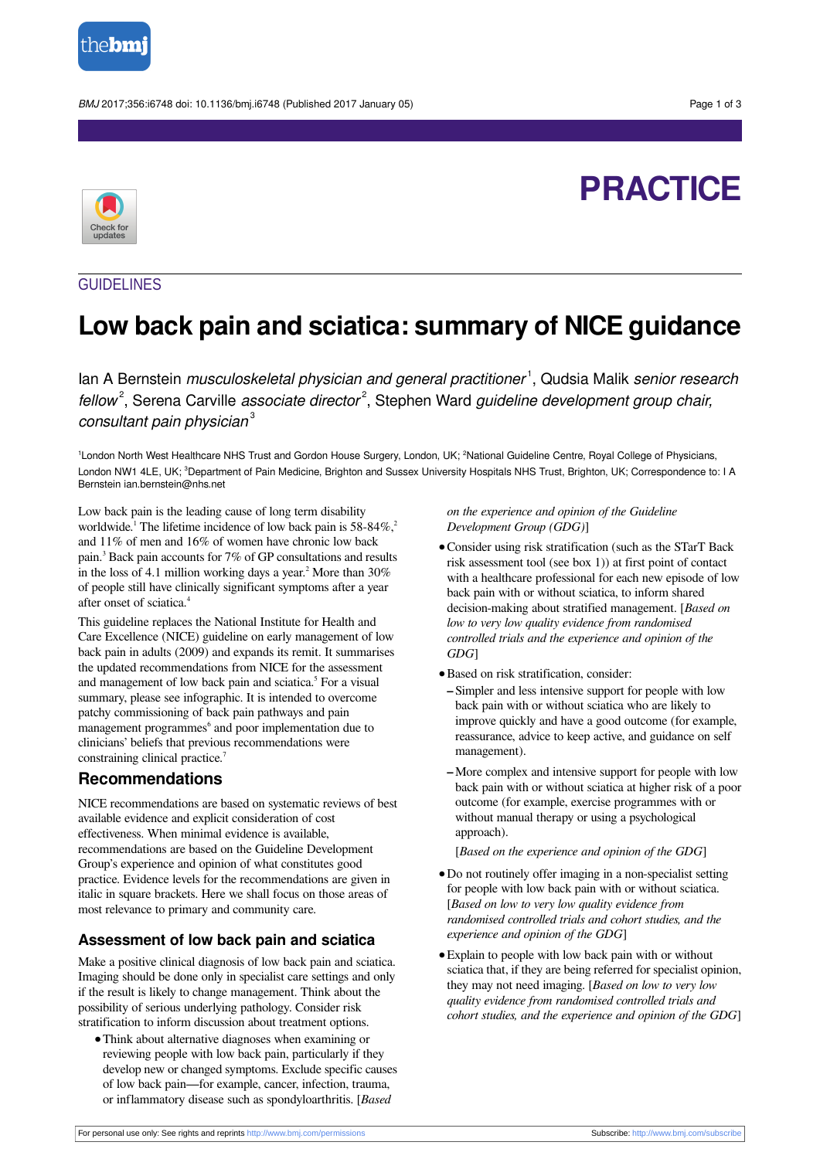

BMJ 2017;356:i6748 doi: 10.1136/bmj.i6748 (Published 2017 January 05) Page 1 of 3

# **PRACTICE**



# GUIDELINES

# **Low back pain and sciatica: summary of NICE guidance**

lan A Bernstein *musculoskeletal physician and general practitioner*<sup>1</sup>, Qudsia Malik *senior research* fellow<sup>2</sup>, Serena Carville associate director<sup>2</sup>, Stephen Ward guideline development group chair, consultant pain physician<sup>3</sup>

<sup>1</sup>London North West Healthcare NHS Trust and Gordon House Surgery, London, UK; <sup>2</sup>National Guideline Centre, Royal College of Physicians, London NW1 4LE, UK; <sup>3</sup>Department of Pain Medicine, Brighton and Sussex University Hospitals NHS Trust, Brighton, UK; Correspondence to: I A Bernstein ian.bernstein@nhs.net

Low back pain is the leading cause of long term disability worldwide.<sup>1</sup> The lifetime incidence of low back pain is 58-84%,<sup>2</sup> and 11% of men and 16% of women have chronic low back pain. 3 Back pain accounts for 7% of GP consultations and results in the loss of 4.1 million working days a year.<sup>2</sup> More than 30% of people still have clinically significant symptoms after a year after onset of sciatica. 4

This guideline replaces the National Institute for Health and Care Excellence (NICE) guideline on early management of low back pain in adults (2009) and expands its remit. It summarises the updated recommendations from NICE for the assessment and management of low back pain and sciatica. 5 For a visual summary, please see infographic. It is intended to overcome patchy commissioning of back pain pathways and pain management programmes<sup>6</sup> and poor implementation due to clinicians' beliefs that previous recommendations were constraining clinical practice.<sup>7</sup>

# **Recommendations**

NICE recommendations are based on systematic reviews of best available evidence and explicit consideration of cost effectiveness. When minimal evidence is available, recommendations are based on the Guideline Development Group's experience and opinion of what constitutes good practice. Evidence levels for the recommendations are given in italic in square brackets. Here we shall focus on those areas of most relevance to primary and community care.

# **Assessment of low back pain and sciatica**

Make a positive clinical diagnosis of low back pain and sciatica. Imaging should be done only in specialist care settings and only if the result is likely to change management. Think about the possibility of serious underlying pathology. Consider risk stratification to inform discussion about treatment options.

**•**Think about alternative diagnoses when examining or reviewing people with low back pain, particularly if they develop new or changed symptoms. Exclude specific causes of low back pain—for example, cancer, infection, trauma, or inflammatory disease such as spondyloarthritis. [*Based*

*on the experience and opinion of the Guideline Development Group (GDG)*]

- **•**Consider using risk stratification (such as the STarT Back risk assessment tool (see box 1)) at first point of contact with a healthcare professional for each new episode of low back pain with or without sciatica, to inform shared decision-making about stratified management. [*Based on low to very low quality evidence from randomised controlled trials and the experience and opinion of the GDG*]
- **•**Based on risk stratification, consider:
- **–** Simpler and less intensive support for people with low back pain with or without sciatica who are likely to improve quickly and have a good outcome (for example, reassurance, advice to keep active, and guidance on self management).
- **–**More complex and intensive support for people with low back pain with or without sciatica at higher risk of a poor outcome (for example, exercise programmes with or without manual therapy or using a psychological approach).

[*Based on the experience and opinion of the GDG*]

- **•**Do not routinely offer imaging in a non-specialist setting for people with low back pain with or without sciatica. [*Based on low to very low quality evidence from randomised controlled trials and cohort studies, and the experience and opinion of the GDG*]
- **•**Explain to people with low back pain with or without sciatica that, if they are being referred for specialist opinion, they may not need imaging. [*Based on low to very low quality evidence from randomised controlled trials and cohort studies, and the experience and opinion of the GDG*]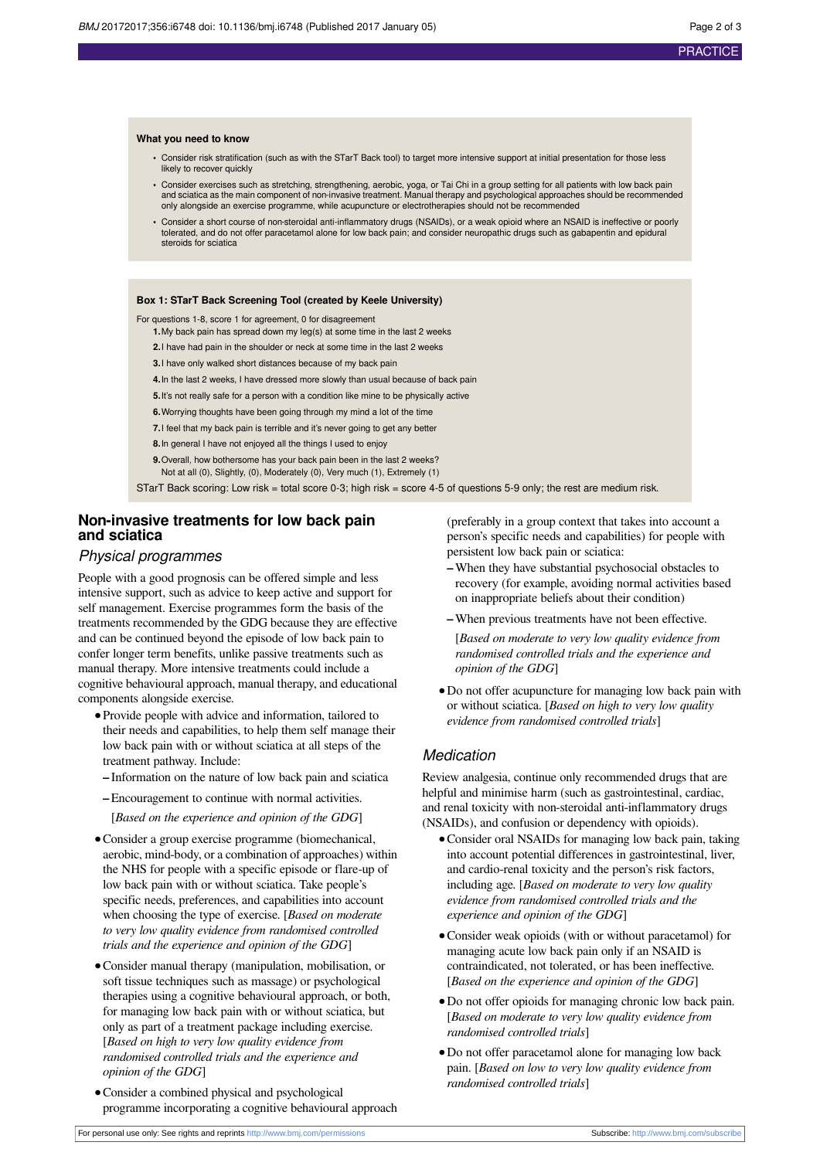#### **What you need to know**

- **•** Consider risk stratification (such as with the STarT Back tool) to target more intensive support at initial presentation for those less likely to recover quickly
- **•** Consider exercises such as stretching, strengthening, aerobic, yoga, or Tai Chi in a group setting for all patients with low back pain and sciatica as the main component of non-invasive treatment. Manual therapy and psychological approaches should be recommended only alongside an exercise programme, while acupuncture or electrotherapies should not be recommended
- **•** Consider a short course of non-steroidal anti-inflammatory drugs (NSAIDs), or a weak opioid where an NSAID is ineffective or poorly tolerated, and do not offer paracetamol alone for low back pain; and consider neuropathic drugs such as gabapentin and epidural steroids for sciatica

#### **Box 1: STarT Back Screening Tool (created by Keele University)**

For questions 1-8, score 1 for agreement, 0 for disagreement

- **1.**My back pain has spread down my leg(s) at some time in the last 2 weeks
- **2.**I have had pain in the shoulder or neck at some time in the last 2 weeks
- **3.**I have only walked short distances because of my back pain
- **4.**In the last 2 weeks, I have dressed more slowly than usual because of back pain
- **5.**It's not really safe for a person with a condition like mine to be physically active
- **6.**Worrying thoughts have been going through my mind a lot of the time
- **7.**I feel that my back pain is terrible and it's never going to get any better
- **8.**In general I have not enjoyed all the things I used to enjoy

**9.**Overall, how bothersome has your back pain been in the last 2 weeks? Not at all (0), Slightly, (0), Moderately (0), Very much (1), Extremely (1)

STarT Back scoring: Low risk = total score 0-3; high risk = score 4-5 of questions 5-9 only; the rest are medium risk.

# **Non-invasive treatments for low back pain and sciatica**

#### Physical programmes

People with a good prognosis can be offered simple and less intensive support, such as advice to keep active and support for self management. Exercise programmes form the basis of the treatments recommended by the GDG because they are effective and can be continued beyond the episode of low back pain to confer longer term benefits, unlike passive treatments such as manual therapy. More intensive treatments could include a cognitive behavioural approach, manual therapy, and educational components alongside exercise.

- **•**Provide people with advice and information, tailored to their needs and capabilities, to help them self manage their low back pain with or without sciatica at all steps of the treatment pathway. Include:
	- **–** Information on the nature of low back pain and sciatica
	- **–**Encouragement to continue with normal activities.
		- [*Based on the experience and opinion of the GDG*]
- **•**Consider a group exercise programme (biomechanical, aerobic, mind-body, or a combination of approaches) within the NHS for people with a specific episode or flare-up of low back pain with or without sciatica. Take people's specific needs, preferences, and capabilities into account when choosing the type of exercise. [*Based on moderate to very low quality evidence from randomised controlled trials and the experience and opinion of the GDG*]
- **•**Consider manual therapy (manipulation, mobilisation, or soft tissue techniques such as massage) or psychological therapies using a cognitive behavioural approach, or both, for managing low back pain with or without sciatica, but only as part of a treatment package including exercise. [*Based on high to very low quality evidence from randomised controlled trials and the experience and opinion of the GDG*]
- **•**Consider a combined physical and psychological programme incorporating a cognitive behavioural approach

(preferably in a group context that takes into account a person's specific needs and capabilities) for people with persistent low back pain or sciatica:

- **–**When they have substantial psychosocial obstacles to recovery (for example, avoiding normal activities based on inappropriate beliefs about their condition)
- **–**When previous treatments have not been effective.

[*Based on moderate to very low quality evidence from randomised controlled trials and the experience and opinion of the GDG*]

**•**Do not offer acupuncture for managing low back pain with or without sciatica. [*Based on high to very low quality evidence from randomised controlled trials*]

# **Medication**

Review analgesia, continue only recommended drugs that are helpful and minimise harm (such as gastrointestinal, cardiac, and renal toxicity with non-steroidal anti-inflammatory drugs (NSAIDs), and confusion or dependency with opioids).

- **•**Consider oral NSAIDs for managing low back pain, taking into account potential differences in gastrointestinal, liver, and cardio-renal toxicity and the person's risk factors, including age. [*Based on moderate to very low quality evidence from randomised controlled trials and the experience and opinion of the GDG*]
- **•**Consider weak opioids (with or without paracetamol) for managing acute low back pain only if an NSAID is contraindicated, not tolerated, or has been ineffective. [*Based on the experience and opinion of the GDG*]
- **•**Do not offer opioids for managing chronic low back pain. [*Based on moderate to very low quality evidence from randomised controlled trials*]
- **•**Do not offer paracetamol alone for managing low back pain. [*Based on low to very low quality evidence from randomised controlled trials*]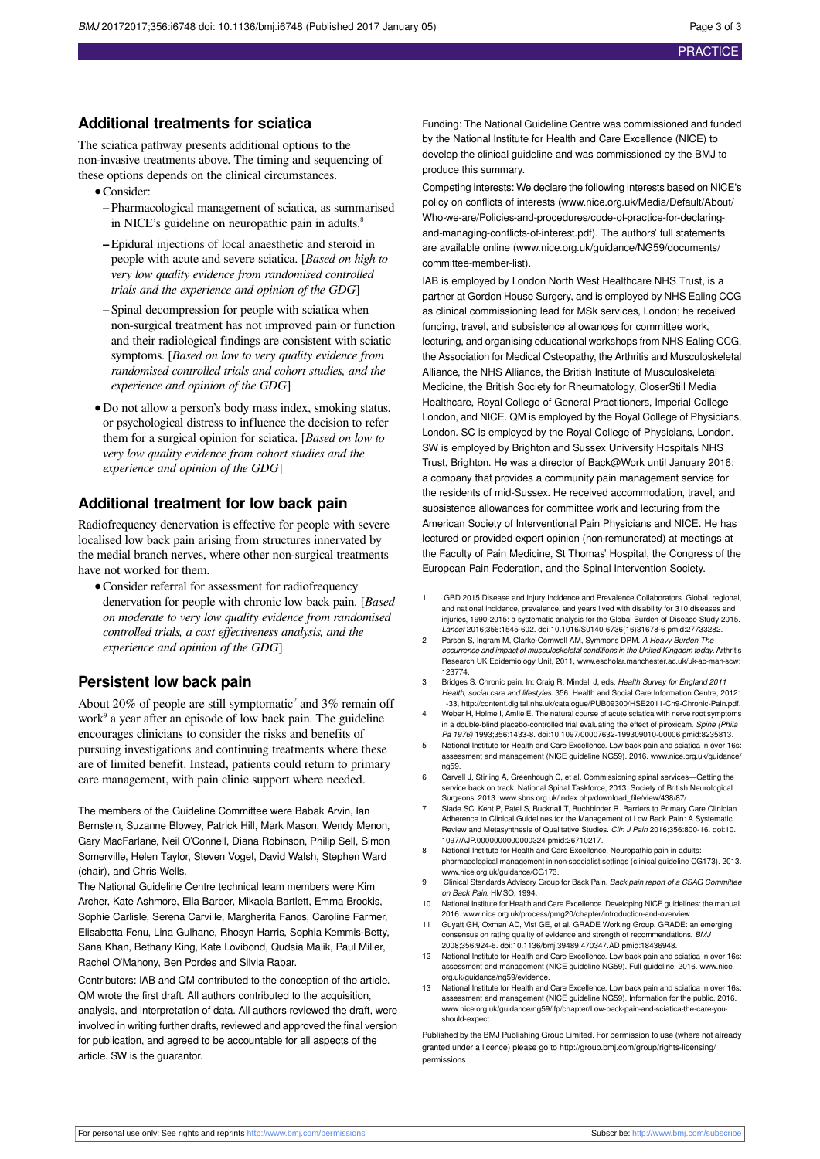# **Additional treatments for sciatica**

The sciatica pathway presents additional options to the non-invasive treatments above. The timing and sequencing of these options depends on the clinical circumstances.

- **•**Consider:
- **–** Pharmacological management of sciatica, as summarised in NICE's guideline on neuropathic pain in adults. 8
- **–**Epidural injections of local anaesthetic and steroid in people with acute and severe sciatica. [*Based on high to very low quality evidence from randomised controlled trials and the experience and opinion of the GDG*]
- **–** Spinal decompression for people with sciatica when non-surgical treatment has not improved pain or function and their radiological findings are consistent with sciatic symptoms. [*Based on low to very quality evidence from randomised controlled trials and cohort studies, and the experience and opinion of the GDG*]
- **•**Do not allow a person's body mass index, smoking status, or psychological distress to influence the decision to refer them for a surgical opinion for sciatica. [*Based on low to very low quality evidence from cohort studies and the experience and opinion of the GDG*]

# **Additional treatment for low back pain**

Radiofrequency denervation is effective for people with severe localised low back pain arising from structures innervated by the medial branch nerves, where other non-surgical treatments have not worked for them.

**•**Consider referral for assessment for radiofrequency denervation for people with chronic low back pain. [*Based on moderate to very low quality evidence from randomised controlled trials, a cost effectiveness analysis, and the experience and opinion of the GDG*]

### **Persistent low back pain**

About 20% of people are still symptomatic<sup>2</sup> and 3% remain off work<sup>9</sup> a year after an episode of low back pain. The guideline encourages clinicians to consider the risks and benefits of pursuing investigations and continuing treatments where these are of limited benefit. Instead, patients could return to primary care management, with pain clinic support where needed.

The members of the Guideline Committee were Babak Arvin, Ian Bernstein, Suzanne Blowey, Patrick Hill, Mark Mason, Wendy Menon, Gary MacFarlane, Neil O'Connell, Diana Robinson, Philip Sell, Simon Somerville, Helen Taylor, Steven Vogel, David Walsh, Stephen Ward (chair), and Chris Wells.

The National Guideline Centre technical team members were Kim Archer, Kate Ashmore, Ella Barber, Mikaela Bartlett, Emma Brockis, Sophie Carlisle, Serena Carville, Margherita Fanos, Caroline Farmer, Elisabetta Fenu, Lina Gulhane, Rhosyn Harris, Sophia Kemmis-Betty, Sana Khan, Bethany King, Kate Lovibond, Qudsia Malik, Paul Miller, Rachel O'Mahony, Ben Pordes and Silvia Rabar.

Contributors: IAB and QM contributed to the conception of the article. QM wrote the first draft. All authors contributed to the acquisition, analysis, and interpretation of data. All authors reviewed the draft, were involved in writing further drafts, reviewed and approved the final version for publication, and agreed to be accountable for all aspects of the article. SW is the guarantor.

Funding: The National Guideline Centre was commissioned and funded by the National Institute for Health and Care Excellence (NICE) to develop the clinical guideline and was commissioned by the BMJ to produce this summary.

Competing interests: We declare the following interests based on NICE's policy on conflicts of interests ([www.nice.org.uk/Media/Default/About/](http://www.nice.org.uk/Media/Default/About/Who-we-are/Policies-and-procedures/code-of-practice-for-declaring-and-managing-conflicts-of-interest.pdf) [Who-we-are/Policies-and-procedures/code-of-practice-for-declaring](http://www.nice.org.uk/Media/Default/About/Who-we-are/Policies-and-procedures/code-of-practice-for-declaring-and-managing-conflicts-of-interest.pdf)[and-managing-conflicts-of-interest.pdf\)](http://www.nice.org.uk/Media/Default/About/Who-we-are/Policies-and-procedures/code-of-practice-for-declaring-and-managing-conflicts-of-interest.pdf). The authors' full statements are available online [\(www.nice.org.uk/guidance/NG59/documents/](http://www.nice.org.uk/guidance/NG59/documents/committee-member-list) [committee-member-list](http://www.nice.org.uk/guidance/NG59/documents/committee-member-list)).

IAB is employed by London North West Healthcare NHS Trust, is a partner at Gordon House Surgery, and is employed by NHS Ealing CCG as clinical commissioning lead for MSk services, London; he received funding, travel, and subsistence allowances for committee work, lecturing, and organising educational workshops from NHS Ealing CCG, the Association for Medical Osteopathy, the Arthritis and Musculoskeletal Alliance, the NHS Alliance, the British Institute of Musculoskeletal Medicine, the British Society for Rheumatology, CloserStill Media Healthcare, Royal College of General Practitioners, Imperial College London, and NICE. QM is employed by the Royal College of Physicians, London. SC is employed by the Royal College of Physicians, London. SW is employed by Brighton and Sussex University Hospitals NHS Trust, Brighton. He was a director of Back@Work until January 2016; a company that provides a community pain management service for the residents of mid-Sussex. He received accommodation, travel, and subsistence allowances for committee work and lecturing from the American Society of Interventional Pain Physicians and NICE. He has lectured or provided expert opinion (non-remunerated) at meetings at the Faculty of Pain Medicine, St Thomas' Hospital, the Congress of the European Pain Federation, and the Spinal Intervention Society.

- 1 GBD 2015 Disease and Injury Incidence and Prevalence Collaborators. Global, regional, and national incidence, prevalence, and years lived with disability for 310 diseases and injuries, 1990-2015: a systematic analysis for the Global Burden of Disease Study 2015. Lancet 2016;356:1545-602. [doi:10.1016/S0140-6736\(16\)31678-6](http://dx.doi.org/10.1016/S0140-6736(16)31678-6) [pmid:27733282](http://www.ncbi.nlm.nih.gov/pubmed/?term=27733282).
- 2 Parson S, Ingram M, Clarke-Cornwell AM, Symmons DPM. A Heavy Burden The occurrence and impact of musculoskeletal conditions in the United Kingdom today. Arthritis Research UK Epidemiology Unit, 2011, [www.escholar.manchester.ac.uk/uk-ac-man-scw:](http://www.escholar.manchester.ac.uk/uk-ac-man-scw:123774) [123774.](http://www.escholar.manchester.ac.uk/uk-ac-man-scw:123774)
- 3 Bridges S. Chronic pain. In: Craig R, Mindell J, eds. Health Survey for England 2011 Health, social care and lifestyles. 356. Health and Social Care Information Centre, 2012: 1-33,<http://content.digital.nhs.uk/catalogue/PUB09300/HSE2011-Ch9-Chronic-Pain.pdf>.
- 4 Weber H, Holme I, Amlie E. The natural course of acute sciatica with nerve root symptoms in a double-blind placebo-controlled trial evaluating the effect of piroxicam. Spine (Phila Pa 1976) 1993;356:1433-8. [doi:10.1097/00007632-199309010-00006](http://dx.doi.org/10.1097/00007632-199309010-00006) [pmid:8235813](http://www.ncbi.nlm.nih.gov/pubmed/?term=8235813).
- 5 National Institute for Health and Care Excellence. Low back pain and sciatica in over 16s: assessment and management (NICE guideline NG59). 2016. [www.nice.org.uk/guidance/](http://www.nice.org.uk/guidance/ng59) [ng59](http://www.nice.org.uk/guidance/ng59).
- 6 Carvell J, Stirling A, Greenhough C, et al. Commissioning spinal services—Getting the service back on track. National Spinal Taskforce, 2013. Society of British Neurological
- Surgeons, 2013. [www.sbns.org.uk/index.php/download\\_file/view/438/87/.](http://www.sbns.org.uk/index.php/download_file/view/438/87/) 7 Slade SC, Kent P, Patel S, Bucknall T, Buchbinder R. Barriers to Primary Care Clinician Adherence to Clinical Guidelines for the Management of Low Back Pain: A Systematic Review and Metasynthesis of Qualitative Studies. Clin J Pain 2016;356:800-16. [doi:10.](http://dx.doi.org/10.1097/AJP.0000000000000324) [1097/AJP.0000000000000324](http://dx.doi.org/10.1097/AJP.0000000000000324) [pmid:26710217.](http://www.ncbi.nlm.nih.gov/pubmed/?term=26710217)
- 8 National Institute for Health and Care Excellence. Neuropathic pain in adults: pharmacological management in non-specialist settings (clinical guideline CG173). 2013. [www.nice.org.uk/guidance/CG173.](http://www.nice.org.uk/guidance/CG173)
- 9 Clinical Standards Advisory Group for Back Pain. Back pain report of a CSAG Committee on Back Pain. HMSO, 1994.
- 10 National Institute for Health and Care Excellence. Developing NICE guidelines: the manual. 2016. [www.nice.org.uk/process/pmg20/chapter/introduction-and-overview](http://www.nice.org.uk/process/pmg20/chapter/introduction-and-overview).
- 11 Guyatt GH, Oxman AD, Vist GE, et al. GRADE Working Group. GRADE: an emerging consensus on rating quality of evidence and strength of recommendations. BMJ 2008;356:924-6. [doi:10.1136/bmj.39489.470347.AD](http://dx.doi.org/10.1136/bmj.39489.470347.AD) [pmid:18436948](http://www.ncbi.nlm.nih.gov/pubmed/?term=18436948).
- 12 National Institute for Health and Care Excellence. Low back pain and sciatica in over 16s: assessment and management (NICE guideline NG59). Full guideline. 2016. [www.nice.](http://www.nice.org.uk/guidance/ng59/evidence) [org.uk/guidance/ng59/evidence.](http://www.nice.org.uk/guidance/ng59/evidence)
- 13 National Institute for Health and Care Excellence. Low back pain and sciatica in over 16s: assessment and management (NICE guideline NG59). Information for the public. 2016. [www.nice.org.uk/guidance/ng59/ifp/chapter/Low-back-pain-and-sciatica-the-care-you](http://www.nice.org.uk/guidance/ng59/ifp/chapter/Low-back-pain-and-sciatica-the-care-you-should-expect)[should-expect](http://www.nice.org.uk/guidance/ng59/ifp/chapter/Low-back-pain-and-sciatica-the-care-you-should-expect).

Published by the BMJ Publishing Group Limited. For permission to use (where not already granted under a licence) please go to [http://group.bmj.com/group/rights-licensing/](http://group.bmj.com/group/rights-licensing/permissions) [permissions](http://group.bmj.com/group/rights-licensing/permissions)